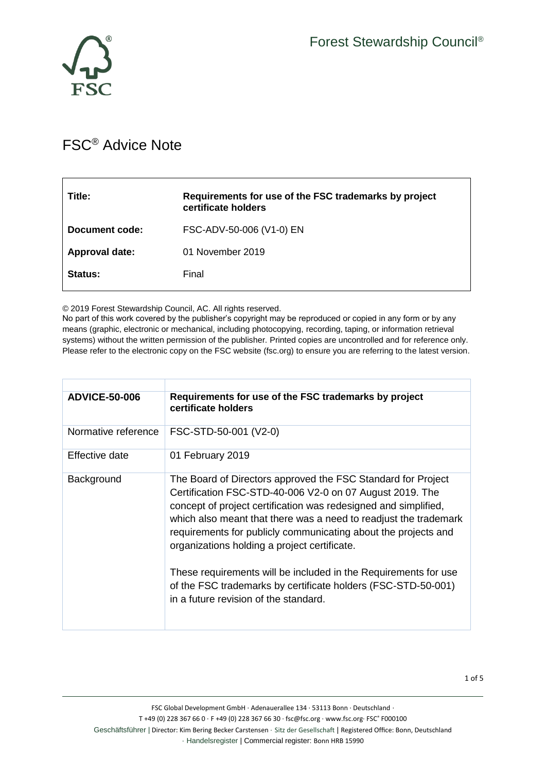



## FSC® Advice Note

| Title:         | Requirements for use of the FSC trademarks by project<br>certificate holders |
|----------------|------------------------------------------------------------------------------|
| Document code: | FSC-ADV-50-006 (V1-0) EN                                                     |
| Approval date: | 01 November 2019                                                             |
| <b>Status:</b> | Final                                                                        |

© 2019 Forest Stewardship Council, AC. All rights reserved.

No part of this work covered by the publisher's copyright may be reproduced or copied in any form or by any means (graphic, electronic or mechanical, including photocopying, recording, taping, or information retrieval systems) without the written permission of the publisher. Printed copies are uncontrolled and for reference only. Please refer to the electronic copy on the FSC website (fsc.org) to ensure you are referring to the latest version.

| <b>ADVICE-50-006</b> | Requirements for use of the FSC trademarks by project<br>certificate holders                                                                                                                                                                                                                                                                                                                                                                                                                                                                                   |  |
|----------------------|----------------------------------------------------------------------------------------------------------------------------------------------------------------------------------------------------------------------------------------------------------------------------------------------------------------------------------------------------------------------------------------------------------------------------------------------------------------------------------------------------------------------------------------------------------------|--|
| Normative reference  | FSC-STD-50-001 (V2-0)                                                                                                                                                                                                                                                                                                                                                                                                                                                                                                                                          |  |
| Effective date       | 01 February 2019                                                                                                                                                                                                                                                                                                                                                                                                                                                                                                                                               |  |
| Background           | The Board of Directors approved the FSC Standard for Project<br>Certification FSC-STD-40-006 V2-0 on 07 August 2019. The<br>concept of project certification was redesigned and simplified,<br>which also meant that there was a need to readjust the trademark<br>requirements for publicly communicating about the projects and<br>organizations holding a project certificate.<br>These requirements will be included in the Requirements for use<br>of the FSC trademarks by certificate holders (FSC-STD-50-001)<br>in a future revision of the standard. |  |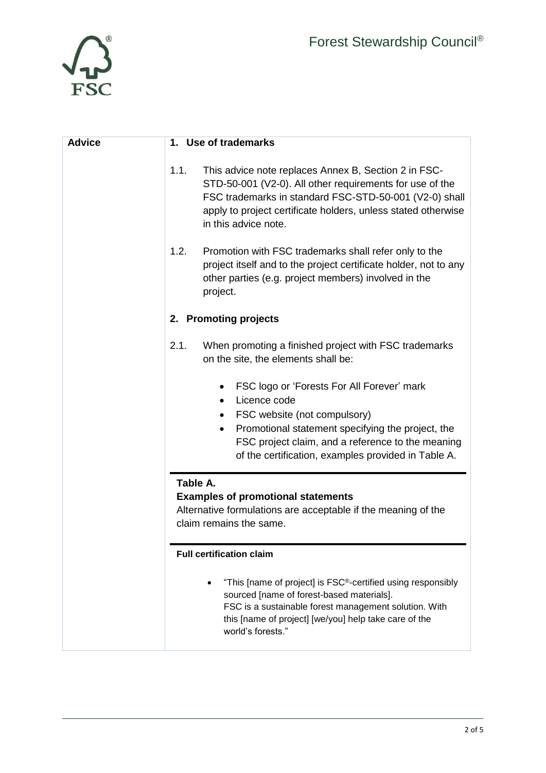

| <b>Advice</b> | Use of trademarks<br>1.                                                                                                                                                                                                                                                               |  |
|---------------|---------------------------------------------------------------------------------------------------------------------------------------------------------------------------------------------------------------------------------------------------------------------------------------|--|
|               | 1.1.<br>This advice note replaces Annex B, Section 2 in FSC-<br>STD-50-001 (V2-0). All other requirements for use of the<br>FSC trademarks in standard FSC-STD-50-001 (V2-0) shall<br>apply to project certificate holders, unless stated otherwise<br>in this advice note.           |  |
|               | 1.2.<br>Promotion with FSC trademarks shall refer only to the<br>project itself and to the project certificate holder, not to any<br>other parties (e.g. project members) involved in the<br>project.                                                                                 |  |
|               | 2. Promoting projects                                                                                                                                                                                                                                                                 |  |
|               | 2.1.<br>When promoting a finished project with FSC trademarks<br>on the site, the elements shall be:                                                                                                                                                                                  |  |
|               | FSC logo or 'Forests For All Forever' mark<br>$\bullet$<br>Licence code<br>$\bullet$<br>FSC website (not compulsory)<br>Promotional statement specifying the project, the<br>FSC project claim, and a reference to the meaning<br>of the certification, examples provided in Table A. |  |
|               | Table A.<br><b>Examples of promotional statements</b><br>Alternative formulations are acceptable if the meaning of the<br>claim remains the same.                                                                                                                                     |  |
|               | <b>Full certification claim</b>                                                                                                                                                                                                                                                       |  |
|               | "This [name of project] is FSC®-certified using responsibly<br>sourced [name of forest-based materials].<br>FSC is a sustainable forest management solution. With<br>this [name of project] [we/you] help take care of the<br>world's forests."                                       |  |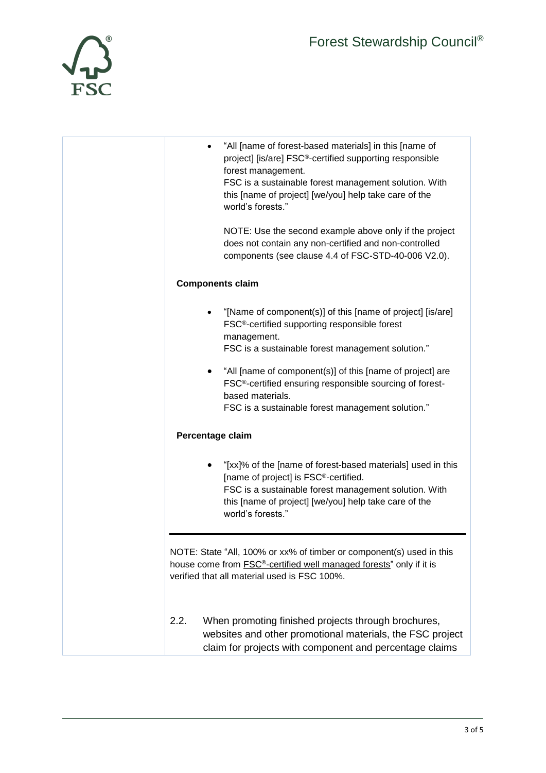

| "All [name of forest-based materials] in this [name of<br>project] [is/are] FSC®-certified supporting responsible<br>forest management.<br>FSC is a sustainable forest management solution. With<br>this [name of project] [we/you] help take care of the<br>world's forests."<br>NOTE: Use the second example above only if the project |
|------------------------------------------------------------------------------------------------------------------------------------------------------------------------------------------------------------------------------------------------------------------------------------------------------------------------------------------|
| does not contain any non-certified and non-controlled<br>components (see clause 4.4 of FSC-STD-40-006 V2.0).                                                                                                                                                                                                                             |
| <b>Components claim</b>                                                                                                                                                                                                                                                                                                                  |
| "[Name of component(s)] of this [name of project] [is/are]<br>FSC <sup>®</sup> -certified supporting responsible forest<br>management.<br>FSC is a sustainable forest management solution."                                                                                                                                              |
| "All [name of component(s)] of this [name of project] are<br>FSC <sup>®</sup> -certified ensuring responsible sourcing of forest-<br>based materials.<br>FSC is a sustainable forest management solution."                                                                                                                               |
| Percentage claim                                                                                                                                                                                                                                                                                                                         |
| "[xx]% of the [name of forest-based materials] used in this<br>[name of project] is FSC®-certified.<br>FSC is a sustainable forest management solution. With<br>this [name of project] [we/you] help take care of the<br>world's forests."                                                                                               |
| NOTE: State "All, 100% or xx% of timber or component(s) used in this<br>house come from <b>FSC<sup>®</sup>-certified well managed forests</b> " only if it is<br>verified that all material used is FSC 100%.                                                                                                                            |
| 2.2.<br>When promoting finished projects through brochures,<br>websites and other promotional materials, the FSC project<br>claim for projects with component and percentage claims                                                                                                                                                      |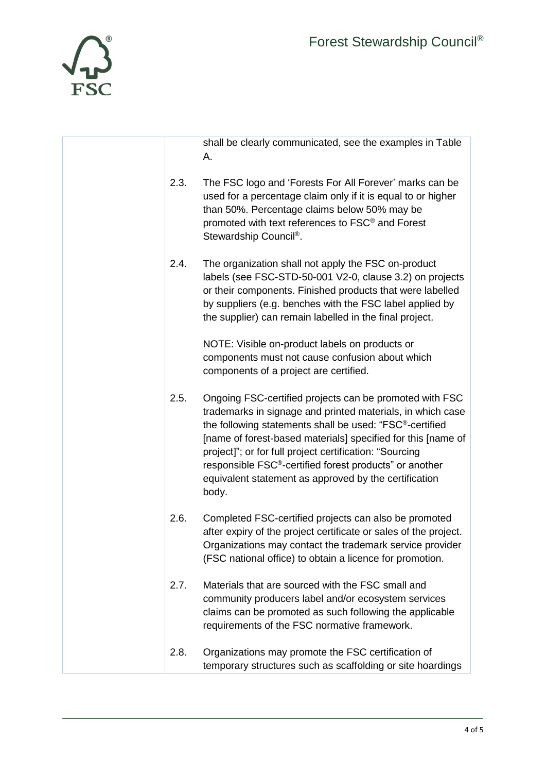

r

|      | shall be clearly communicated, see the examples in Table<br>А.                                                                                                                                                                                                                                                                                                                                                                                       |
|------|------------------------------------------------------------------------------------------------------------------------------------------------------------------------------------------------------------------------------------------------------------------------------------------------------------------------------------------------------------------------------------------------------------------------------------------------------|
| 2.3. | The FSC logo and 'Forests For All Forever' marks can be<br>used for a percentage claim only if it is equal to or higher<br>than 50%. Percentage claims below 50% may be<br>promoted with text references to FSC <sup>®</sup> and Forest<br>Stewardship Council®.                                                                                                                                                                                     |
| 2.4. | The organization shall not apply the FSC on-product<br>labels (see FSC-STD-50-001 V2-0, clause 3.2) on projects<br>or their components. Finished products that were labelled<br>by suppliers (e.g. benches with the FSC label applied by<br>the supplier) can remain labelled in the final project.                                                                                                                                                  |
|      | NOTE: Visible on-product labels on products or<br>components must not cause confusion about which<br>components of a project are certified.                                                                                                                                                                                                                                                                                                          |
| 2.5. | Ongoing FSC-certified projects can be promoted with FSC<br>trademarks in signage and printed materials, in which case<br>the following statements shall be used: "FSC®-certified<br>[name of forest-based materials] specified for this [name of<br>project]"; or for full project certification: "Sourcing<br>responsible FSC <sup>®</sup> -certified forest products" or another<br>equivalent statement as approved by the certification<br>body. |
| 2.6. | Completed FSC-certified projects can also be promoted<br>after expiry of the project certificate or sales of the project.<br>Organizations may contact the trademark service provider<br>(FSC national office) to obtain a licence for promotion.                                                                                                                                                                                                    |
| 2.7. | Materials that are sourced with the FSC small and<br>community producers label and/or ecosystem services<br>claims can be promoted as such following the applicable<br>requirements of the FSC normative framework.                                                                                                                                                                                                                                  |
| 2.8. | Organizations may promote the FSC certification of<br>temporary structures such as scaffolding or site hoardings                                                                                                                                                                                                                                                                                                                                     |